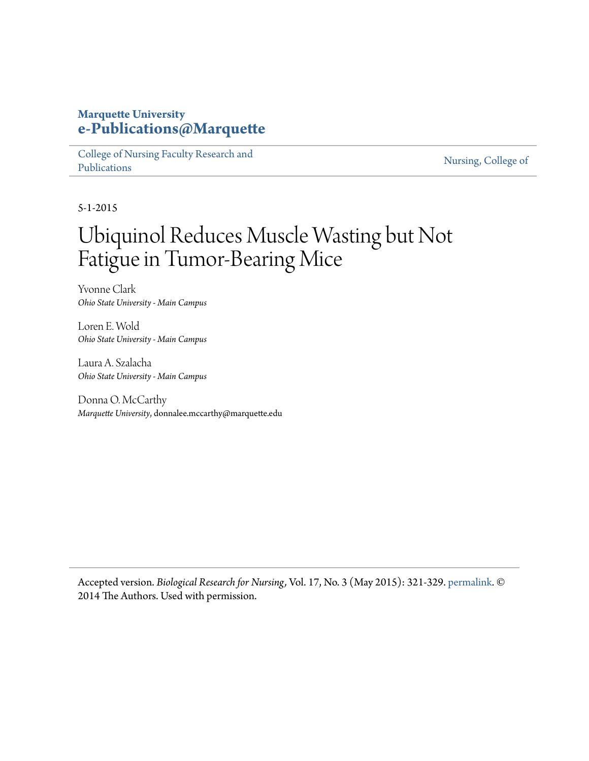## **Marquette University [e-Publications@Marquette](https://epublications.marquette.edu)**

[College of Nursing Faculty Research and](https://epublications.marquette.edu/nursing_fac) [Publications](https://epublications.marquette.edu/nursing_fac)

[Nursing, College of](https://epublications.marquette.edu/nursing)

5-1-2015

## Ubiquinol Reduces Muscle Wasting but Not Fatigue in Tumor-Bearing Mice

Yvonne Clark *Ohio State University - Main Campus*

Loren E. Wold *Ohio State University - Main Campus*

Laura A. Szalacha *Ohio State University - Main Campus*

Donna O. McCarthy *Marquette University*, donnalee.mccarthy@marquette.edu

Accepted version. *Biological Research for Nursing,* Vol. 17, No. 3 (May 2015): 321-329. [permalink.](https://journals.sagepub.com/doi/pdf/10.1177/1099800414543822) © 2014 The Authors. Used with permission.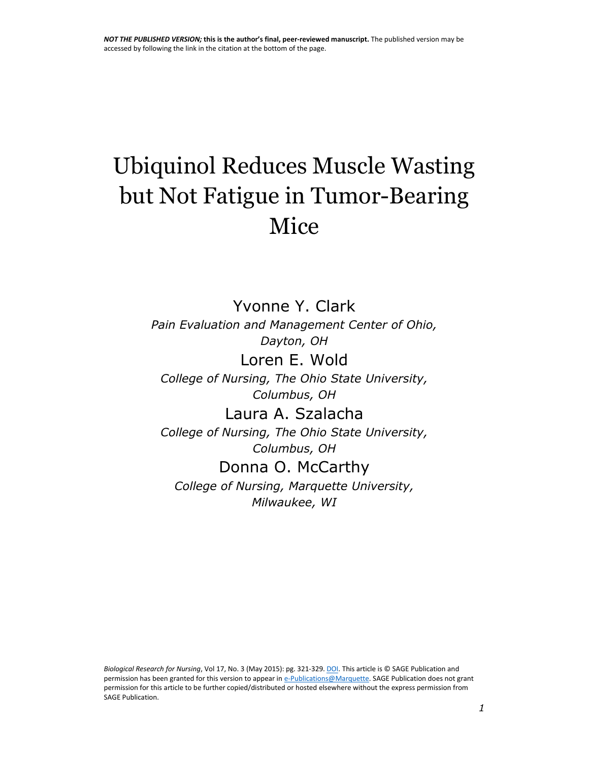# Ubiquinol Reduces Muscle Wasting but Not Fatigue in Tumor-Bearing Mice

Yvonne Y. Clark *Pain Evaluation and Management Center of Ohio, Dayton, OH* Loren E. Wold *College of Nursing, The Ohio State University,*

*Columbus, OH*

Laura A. Szalacha *College of Nursing, The Ohio State University, Columbus, OH*

## Donna O. McCarthy

*College of Nursing, Marquette University, Milwaukee, WI*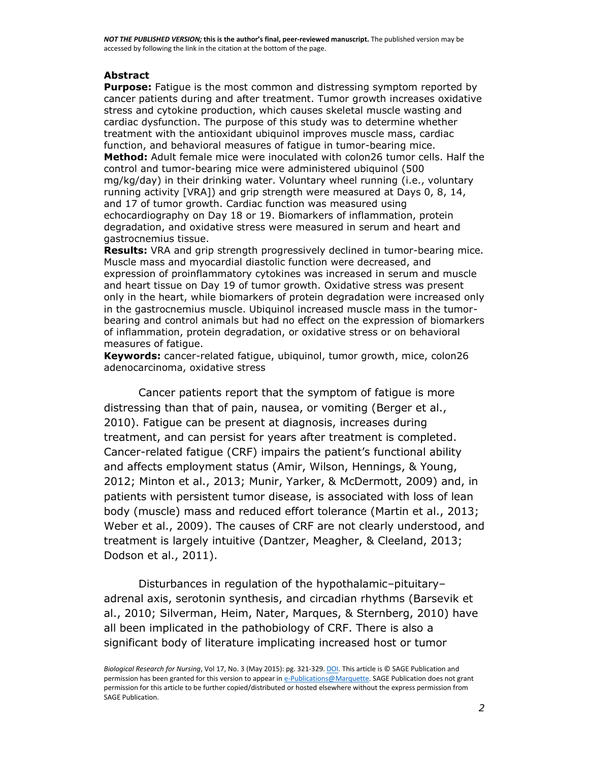#### **Abstract**

**Purpose:** Fatigue is the most common and distressing symptom reported by cancer patients during and after treatment. Tumor growth increases oxidative stress and cytokine production, which causes skeletal muscle wasting and cardiac dysfunction. The purpose of this study was to determine whether treatment with the antioxidant ubiquinol improves muscle mass, cardiac function, and behavioral measures of fatigue in tumor-bearing mice. **Method:** Adult female mice were inoculated with colon26 tumor cells. Half the control and tumor-bearing mice were administered ubiquinol (500 mg/kg/day) in their drinking water. Voluntary wheel running (i.e., voluntary running activity [VRA]) and grip strength were measured at Days 0, 8, 14, and 17 of tumor growth. Cardiac function was measured using echocardiography on Day 18 or 19. Biomarkers of inflammation, protein degradation, and oxidative stress were measured in serum and heart and gastrocnemius tissue.

**Results:** VRA and grip strength progressively declined in tumor-bearing mice. Muscle mass and myocardial diastolic function were decreased, and expression of proinflammatory cytokines was increased in serum and muscle and heart tissue on Day 19 of tumor growth. Oxidative stress was present only in the heart, while biomarkers of protein degradation were increased only in the gastrocnemius muscle. Ubiquinol increased muscle mass in the tumorbearing and control animals but had no effect on the expression of biomarkers of inflammation, protein degradation, or oxidative stress or on behavioral measures of fatigue.

**Keywords:** cancer-related fatigue, ubiquinol, tumor growth, mice, colon26 adenocarcinoma, oxidative stress

Cancer patients report that the symptom of fatigue is more distressing than that of pain, nausea, or vomiting [\(Berger et al.,](https://www.ncbi.nlm.nih.gov/pmc/articles/PMC4363037/#R4)  [2010\)](https://www.ncbi.nlm.nih.gov/pmc/articles/PMC4363037/#R4). Fatigue can be present at diagnosis, increases during treatment, and can persist for years after treatment is completed. Cancer-related fatigue (CRF) impairs the patient's functional ability and affects employment status [\(Amir, Wilson, Hennings, & Young,](https://www.ncbi.nlm.nih.gov/pmc/articles/PMC4363037/#R1)  [2012;](https://www.ncbi.nlm.nih.gov/pmc/articles/PMC4363037/#R1) [Minton et al., 2013;](https://www.ncbi.nlm.nih.gov/pmc/articles/PMC4363037/#R24) [Munir, Yarker, & McDermott,](https://www.ncbi.nlm.nih.gov/pmc/articles/PMC4363037/#R26) 2009) and, in patients with persistent tumor disease, is associated with loss of lean body (muscle) mass and reduced effort tolerance [\(Martin et al., 2013;](https://www.ncbi.nlm.nih.gov/pmc/articles/PMC4363037/#R22) [Weber et al., 2009\)](https://www.ncbi.nlm.nih.gov/pmc/articles/PMC4363037/#R49). The causes of CRF are not clearly understood, and treatment is largely intuitive [\(Dantzer, Meagher, & Cleeland, 2013;](https://www.ncbi.nlm.nih.gov/pmc/articles/PMC4363037/#R8) [Dodson et al., 2011\)](https://www.ncbi.nlm.nih.gov/pmc/articles/PMC4363037/#R9).

Disturbances in regulation of the hypothalamic–pituitary– adrenal axis, serotonin synthesis, and circadian rhythms [\(Barsevik et](https://www.ncbi.nlm.nih.gov/pmc/articles/PMC4363037/#R2)  [al., 2010;](https://www.ncbi.nlm.nih.gov/pmc/articles/PMC4363037/#R2) [Silverman, Heim, Nater, Marques, & Sternberg, 2010\)](https://www.ncbi.nlm.nih.gov/pmc/articles/PMC4363037/#R41) have all been implicated in the pathobiology of CRF. There is also a significant body of literature implicating increased host or tumor

*Biological Research for Nursing*, Vol 17, No. 3 (May 2015): pg. 321-329[. DOI.](http://dx.doi.org/10.1177/1099800414543822) This article is © SAGE Publication and permission has been granted for this version to appear i[n e-Publications@Marquette.](http://epublications.marquette.edu/) SAGE Publication does not grant permission for this article to be further copied/distributed or hosted elsewhere without the express permission from SAGE Publication.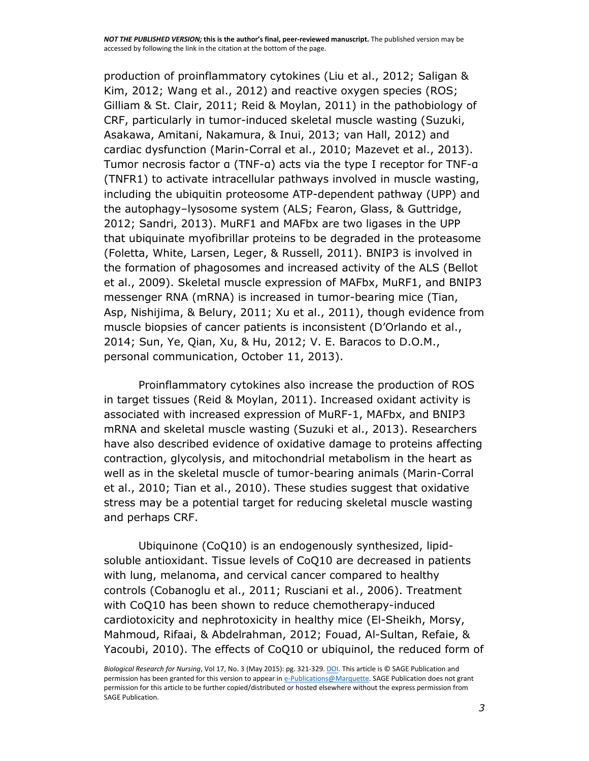production of proinflammatory cytokines [\(Liu et al., 2012;](https://www.ncbi.nlm.nih.gov/pmc/articles/PMC4363037/#R19) [Saligan &](https://www.ncbi.nlm.nih.gov/pmc/articles/PMC4363037/#R37)  [Kim, 2012;](https://www.ncbi.nlm.nih.gov/pmc/articles/PMC4363037/#R37) [Wang et al., 2012\)](https://www.ncbi.nlm.nih.gov/pmc/articles/PMC4363037/#R48) and reactive oxygen species (ROS; [Gilliam & St. Clair, 2011;](https://www.ncbi.nlm.nih.gov/pmc/articles/PMC4363037/#R15) [Reid & Moylan, 2011\)](https://www.ncbi.nlm.nih.gov/pmc/articles/PMC4363037/#R35) in the pathobiology of CRF, particularly in tumor-induced skeletal muscle wasting [\(Suzuki,](https://www.ncbi.nlm.nih.gov/pmc/articles/PMC4363037/#R43)  [Asakawa, Amitani, Nakamura, & Inui, 2013;](https://www.ncbi.nlm.nih.gov/pmc/articles/PMC4363037/#R43) [van Hall, 2012\)](https://www.ncbi.nlm.nih.gov/pmc/articles/PMC4363037/#R47) and cardiac dysfunction [\(Marin-Corral et al., 2010;](https://www.ncbi.nlm.nih.gov/pmc/articles/PMC4363037/#R21) [Mazevet et al., 2013\)](https://www.ncbi.nlm.nih.gov/pmc/articles/PMC4363037/#R23). Tumor necrosis factor α (TNF-α) acts via the type I receptor for TNF-α (TNFR1) to activate intracellular pathways involved in muscle wasting, including the ubiquitin proteosome ATP-dependent pathway (UPP) and the autophagy–lysosome system (ALS; [Fearon, Glass, & Guttridge,](https://www.ncbi.nlm.nih.gov/pmc/articles/PMC4363037/#R12)  [2012;](https://www.ncbi.nlm.nih.gov/pmc/articles/PMC4363037/#R12) [Sandri, 2013\)](https://www.ncbi.nlm.nih.gov/pmc/articles/PMC4363037/#R38). MuRF1 and MAFbx are two ligases in the UPP that ubiquinate myofibrillar proteins to be degraded in the proteasome [\(Foletta, White, Larsen, Leger, & Russell, 2011\)](https://www.ncbi.nlm.nih.gov/pmc/articles/PMC4363037/#R13). BNIP3 is involved in the formation of phagosomes and increased activity of the ALS [\(Bellot](https://www.ncbi.nlm.nih.gov/pmc/articles/PMC4363037/#R3)  [et al., 2009\)](https://www.ncbi.nlm.nih.gov/pmc/articles/PMC4363037/#R3). Skeletal muscle expression of MAFbx, MuRF1, and BNIP3 messenger RNA (mRNA) is increased in tumor-bearing mice [\(Tian,](https://www.ncbi.nlm.nih.gov/pmc/articles/PMC4363037/#R44)  [Asp, Nishijima, & Belury, 2011;](https://www.ncbi.nlm.nih.gov/pmc/articles/PMC4363037/#R44) [Xu et al., 2011\)](https://www.ncbi.nlm.nih.gov/pmc/articles/PMC4363037/#R53), though evidence from muscle biopsies of cancer patients is inconsistent ([D'Orlando et al.,](https://www.ncbi.nlm.nih.gov/pmc/articles/PMC4363037/#R10)  [2014;](https://www.ncbi.nlm.nih.gov/pmc/articles/PMC4363037/#R10) [Sun, Ye, Qian, Xu, & Hu, 2012;](https://www.ncbi.nlm.nih.gov/pmc/articles/PMC4363037/#R42) V. E. Baracos to D.O.M., personal communication, October 11, 2013).

Proinflammatory cytokines also increase the production of ROS in target tissues [\(Reid & Moylan, 2011\)](https://www.ncbi.nlm.nih.gov/pmc/articles/PMC4363037/#R35). Increased oxidant activity is associated with increased expression of MuRF-1, MAFbx, and BNIP3 mRNA and skeletal muscle wasting [\(Suzuki et al., 2013\)](https://www.ncbi.nlm.nih.gov/pmc/articles/PMC4363037/#R43). Researchers have also described evidence of oxidative damage to proteins affecting contraction, glycolysis, and mitochondrial metabolism in the heart as well as in the skeletal muscle of tumor-bearing animals [\(Marin-Corral](https://www.ncbi.nlm.nih.gov/pmc/articles/PMC4363037/#R21)  [et al., 2010;](https://www.ncbi.nlm.nih.gov/pmc/articles/PMC4363037/#R21) [Tian et al., 2010\)](https://www.ncbi.nlm.nih.gov/pmc/articles/PMC4363037/#R45). These studies suggest that oxidative stress may be a potential target for reducing skeletal muscle wasting and perhaps CRF.

Ubiquinone (CoQ10) is an endogenously synthesized, lipidsoluble antioxidant. Tissue levels of CoQ10 are decreased in patients with lung, melanoma, and cervical cancer compared to healthy controls [\(Cobanoglu et al., 2011;](https://www.ncbi.nlm.nih.gov/pmc/articles/PMC4363037/#R5) [Rusciani et al., 2006\)](https://www.ncbi.nlm.nih.gov/pmc/articles/PMC4363037/#R36). Treatment with CoQ10 has been shown to reduce chemotherapy-induced cardiotoxicity and nephrotoxicity in healthy mice [\(El-Sheikh, Morsy,](https://www.ncbi.nlm.nih.gov/pmc/articles/PMC4363037/#R11)  [Mahmoud, Rifaai, & Abdelrahman, 2012;](https://www.ncbi.nlm.nih.gov/pmc/articles/PMC4363037/#R11) [Fouad, Al-Sultan, Refaie, &](https://www.ncbi.nlm.nih.gov/pmc/articles/PMC4363037/#R14)  [Yacoubi, 2010\)](https://www.ncbi.nlm.nih.gov/pmc/articles/PMC4363037/#R14). The effects of CoQ10 or ubiquinol, the reduced form of

*Biological Research for Nursing*, Vol 17, No. 3 (May 2015): pg. 321-329[. DOI.](http://dx.doi.org/10.1177/1099800414543822) This article is © SAGE Publication and permission has been granted for this version to appear i[n e-Publications@Marquette.](http://epublications.marquette.edu/) SAGE Publication does not grant permission for this article to be further copied/distributed or hosted elsewhere without the express permission from SAGE Publication.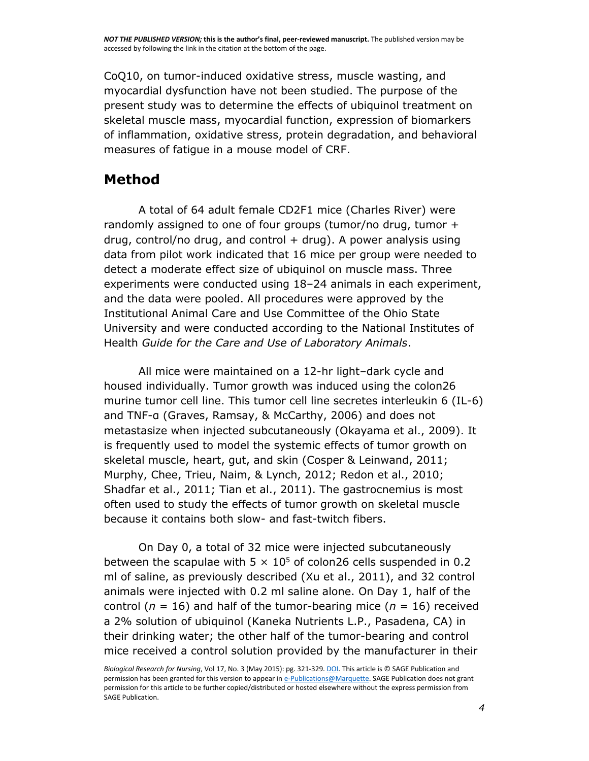CoQ10, on tumor-induced oxidative stress, muscle wasting, and myocardial dysfunction have not been studied. The purpose of the present study was to determine the effects of ubiquinol treatment on skeletal muscle mass, myocardial function, expression of biomarkers of inflammation, oxidative stress, protein degradation, and behavioral measures of fatigue in a mouse model of CRF.

## **Method**

A total of 64 adult female CD2F1 mice (Charles River) were randomly assigned to one of four groups (tumor/no drug, tumor + drug, control/no drug, and control  $+$  drug). A power analysis using data from pilot work indicated that 16 mice per group were needed to detect a moderate effect size of ubiquinol on muscle mass. Three experiments were conducted using 18–24 animals in each experiment, and the data were pooled. All procedures were approved by the Institutional Animal Care and Use Committee of the Ohio State University and were conducted according to the National Institutes of Health *Guide for the Care and Use of Laboratory Animals*.

All mice were maintained on a 12-hr light–dark cycle and housed individually. Tumor growth was induced using the colon26 murine tumor cell line. This tumor cell line secretes interleukin 6 (IL-6) and TNF-α ([Graves, Ramsay, & McCarthy, 2006\)](https://www.ncbi.nlm.nih.gov/pmc/articles/PMC4363037/#R16) and does not metastasize when injected subcutaneously [\(Okayama et al., 2009\)](https://www.ncbi.nlm.nih.gov/pmc/articles/PMC4363037/#R29). It is frequently used to model the systemic effects of tumor growth on skeletal muscle, heart, gut, and skin [\(Cosper & Leinwand, 2011;](https://www.ncbi.nlm.nih.gov/pmc/articles/PMC4363037/#R6) [Murphy, Chee, Trieu, Naim, & Lynch, 2012;](https://www.ncbi.nlm.nih.gov/pmc/articles/PMC4363037/#R27) [Redon et al., 2010;](https://www.ncbi.nlm.nih.gov/pmc/articles/PMC4363037/#R34) [Shadfar et al., 2011;](https://www.ncbi.nlm.nih.gov/pmc/articles/PMC4363037/#R40) [Tian et al., 2011\)](https://www.ncbi.nlm.nih.gov/pmc/articles/PMC4363037/#R44). The gastrocnemius is most often used to study the effects of tumor growth on skeletal muscle because it contains both slow- and fast-twitch fibers.

On Day 0, a total of 32 mice were injected subcutaneously between the scapulae with  $5 \times 10^5$  of colon26 cells suspended in 0.2 ml of saline, as previously described [\(Xu et al., 2011\)](https://www.ncbi.nlm.nih.gov/pmc/articles/PMC4363037/#R53), and 32 control animals were injected with 0.2 ml saline alone. On Day 1, half of the control ( $n = 16$ ) and half of the tumor-bearing mice ( $n = 16$ ) received a 2% solution of ubiquinol (Kaneka Nutrients L.P., Pasadena, CA) in their drinking water; the other half of the tumor-bearing and control mice received a control solution provided by the manufacturer in their

*Biological Research for Nursing*, Vol 17, No. 3 (May 2015): pg. 321-329[. DOI.](http://dx.doi.org/10.1177/1099800414543822) This article is © SAGE Publication and permission has been granted for this version to appear i[n e-Publications@Marquette.](http://epublications.marquette.edu/) SAGE Publication does not grant permission for this article to be further copied/distributed or hosted elsewhere without the express permission from SAGE Publication.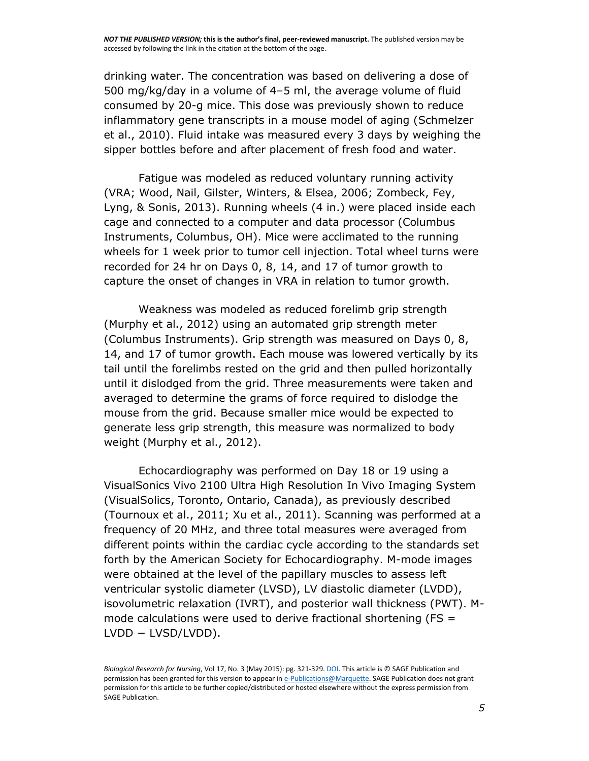drinking water. The concentration was based on delivering a dose of 500 mg/kg/day in a volume of 4–5 ml, the average volume of fluid consumed by 20-g mice. This dose was previously shown to reduce inflammatory gene transcripts in a mouse model of aging [\(Schmelzer](https://www.ncbi.nlm.nih.gov/pmc/articles/PMC4363037/#R39)  [et al., 2010\)](https://www.ncbi.nlm.nih.gov/pmc/articles/PMC4363037/#R39). Fluid intake was measured every 3 days by weighing the sipper bottles before and after placement of fresh food and water.

Fatigue was modeled as reduced voluntary running activity (VRA; [Wood, Nail, Gilster, Winters, &](https://www.ncbi.nlm.nih.gov/pmc/articles/PMC4363037/#R50) Elsea, 2006; [Zombeck, Fey,](https://www.ncbi.nlm.nih.gov/pmc/articles/PMC4363037/#R55)  [Lyng, & Sonis, 2013\)](https://www.ncbi.nlm.nih.gov/pmc/articles/PMC4363037/#R55). Running wheels (4 in.) were placed inside each cage and connected to a computer and data processor (Columbus Instruments, Columbus, OH). Mice were acclimated to the running wheels for 1 week prior to tumor cell injection. Total wheel turns were recorded for 24 hr on Days 0, 8, 14, and 17 of tumor growth to capture the onset of changes in VRA in relation to tumor growth.

Weakness was modeled as reduced forelimb grip strength [\(Murphy et al., 2012\)](https://www.ncbi.nlm.nih.gov/pmc/articles/PMC4363037/#R27) using an automated grip strength meter (Columbus Instruments). Grip strength was measured on Days 0, 8, 14, and 17 of tumor growth. Each mouse was lowered vertically by its tail until the forelimbs rested on the grid and then pulled horizontally until it dislodged from the grid. Three measurements were taken and averaged to determine the grams of force required to dislodge the mouse from the grid. Because smaller mice would be expected to generate less grip strength, this measure was normalized to body weight [\(Murphy et al., 2012\)](https://www.ncbi.nlm.nih.gov/pmc/articles/PMC4363037/#R27).

Echocardiography was performed on Day 18 or 19 using a VisualSonics Vivo 2100 Ultra High Resolution In Vivo Imaging System (VisualSolics, Toronto, Ontario, Canada), as previously described [\(Tournoux et al., 2011;](https://www.ncbi.nlm.nih.gov/pmc/articles/PMC4363037/#R46) [Xu et al., 2011\)](https://www.ncbi.nlm.nih.gov/pmc/articles/PMC4363037/#R53). Scanning was performed at a frequency of 20 MHz, and three total measures were averaged from different points within the cardiac cycle according to the standards set forth by the American Society for Echocardiography. M-mode images were obtained at the level of the papillary muscles to assess left ventricular systolic diameter (LVSD), LV diastolic diameter (LVDD), isovolumetric relaxation (IVRT), and posterior wall thickness (PWT). Mmode calculations were used to derive fractional shortening ( $FS =$ LVDD − LVSD/LVDD).

*Biological Research for Nursing*, Vol 17, No. 3 (May 2015): pg. 321-329[. DOI.](http://dx.doi.org/10.1177/1099800414543822) This article is © SAGE Publication and permission has been granted for this version to appear i[n e-Publications@Marquette.](http://epublications.marquette.edu/) SAGE Publication does not grant permission for this article to be further copied/distributed or hosted elsewhere without the express permission from SAGE Publication.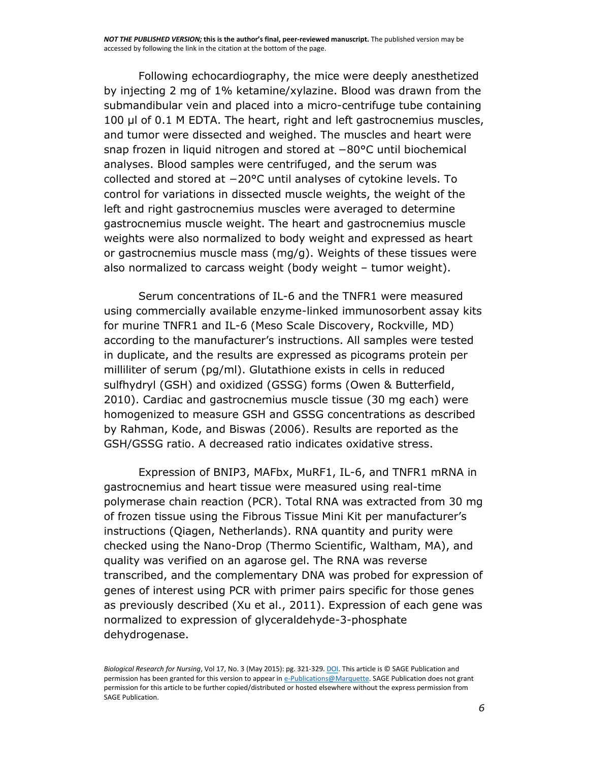Following echocardiography, the mice were deeply anesthetized by injecting 2 mg of 1% ketamine/xylazine. Blood was drawn from the submandibular vein and placed into a micro-centrifuge tube containing 100 μl of 0.1 M EDTA. The heart, right and left gastrocnemius muscles, and tumor were dissected and weighed. The muscles and heart were snap frozen in liquid nitrogen and stored at −80°C until biochemical analyses. Blood samples were centrifuged, and the serum was collected and stored at −20°C until analyses of cytokine levels. To control for variations in dissected muscle weights, the weight of the left and right gastrocnemius muscles were averaged to determine gastrocnemius muscle weight. The heart and gastrocnemius muscle weights were also normalized to body weight and expressed as heart or gastrocnemius muscle mass (mg/g). Weights of these tissues were also normalized to carcass weight (body weight – tumor weight).

Serum concentrations of IL-6 and the TNFR1 were measured using commercially available enzyme-linked immunosorbent assay kits for murine TNFR1 and IL-6 (Meso Scale Discovery, Rockville, MD) according to the manufacturer's instructions. All samples were tested in duplicate, and the results are expressed as picograms protein per milliliter of serum (pg/ml). Glutathione exists in cells in reduced sulfhydryl (GSH) and oxidized (GSSG) forms [\(Owen & Butterfield,](https://www.ncbi.nlm.nih.gov/pmc/articles/PMC4363037/#R30)  [2010\)](https://www.ncbi.nlm.nih.gov/pmc/articles/PMC4363037/#R30). Cardiac and gastrocnemius muscle tissue (30 mg each) were homogenized to measure GSH and GSSG concentrations as described by [Rahman, Kode, and Biswas \(2006\).](https://www.ncbi.nlm.nih.gov/pmc/articles/PMC4363037/#R33) Results are reported as the GSH/GSSG ratio. A decreased ratio indicates oxidative stress.

Expression of BNIP3, MAFbx, MuRF1, IL-6, and TNFR1 mRNA in gastrocnemius and heart tissue were measured using real-time polymerase chain reaction (PCR). Total RNA was extracted from 30 mg of frozen tissue using the Fibrous Tissue Mini Kit per manufacturer's instructions (Qiagen, Netherlands). RNA quantity and purity were checked using the Nano-Drop (Thermo Scientific, Waltham, MA), and quality was verified on an agarose gel. The RNA was reverse transcribed, and the complementary DNA was probed for expression of genes of interest using PCR with primer pairs specific for those genes as previously described [\(Xu et al., 2011\)](https://www.ncbi.nlm.nih.gov/pmc/articles/PMC4363037/#R53). Expression of each gene was normalized to expression of glyceraldehyde-3-phosphate dehydrogenase.

*Biological Research for Nursing*, Vol 17, No. 3 (May 2015): pg. 321-329[. DOI.](http://dx.doi.org/10.1177/1099800414543822) This article is © SAGE Publication and permission has been granted for this version to appear i[n e-Publications@Marquette.](http://epublications.marquette.edu/) SAGE Publication does not grant permission for this article to be further copied/distributed or hosted elsewhere without the express permission from SAGE Publication.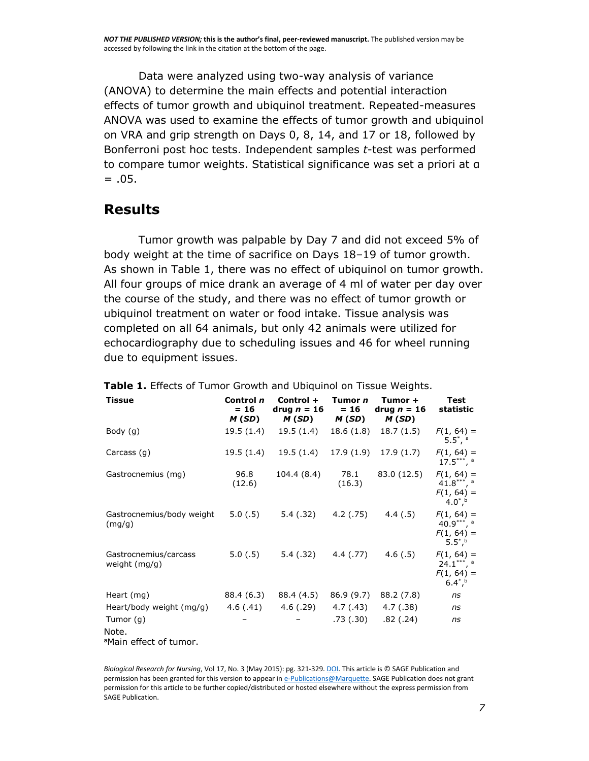Data were analyzed using two-way analysis of variance (ANOVA) to determine the main effects and potential interaction effects of tumor growth and ubiquinol treatment. Repeated-measures ANOVA was used to examine the effects of tumor growth and ubiquinol on VRA and grip strength on Days 0, 8, 14, and 17 or 18, followed by Bonferroni post hoc tests. Independent samples *t*-test was performed to compare tumor weights. Statistical significance was set a priori at α  $= .05.$ 

## **Results**

Tumor growth was palpable by Day 7 and did not exceed 5% of body weight at the time of sacrifice on Days 18–19 of tumor growth. As shown in [Table 1,](https://www.ncbi.nlm.nih.gov/pmc/articles/PMC4363037/table/T1/) there was no effect of ubiquinol on tumor growth. All four groups of mice drank an average of 4 ml of water per day over the course of the study, and there was no effect of tumor growth or ubiquinol treatment on water or food intake. Tissue analysis was completed on all 64 animals, but only 42 animals were utilized for echocardiography due to scheduling issues and 46 for wheel running due to equipment issues.

| <b>Tissue</b>                                              | Control n<br>$= 16$<br>M (SD) | Control +<br>drug $n = 16$<br>M (SD) | Tumor n<br>$= 16$<br>M (SD) | Tumor +<br>drug $n = 16$<br>M(SD) | Test<br>statistic                                              |
|------------------------------------------------------------|-------------------------------|--------------------------------------|-----------------------------|-----------------------------------|----------------------------------------------------------------|
| Body (g)                                                   | 19.5 (1.4)                    | 19.5 (1.4)                           | 18.6 (1.8)                  | 18.7(1.5)                         | $F(1, 64) =$<br>$5.5^*$ , $^{\circ}$                           |
| Carcass (g)                                                | 19.5 (1.4)                    |                                      |                             | $19.5(1.4)$ 17.9 (1.9) 17.9 (1.7) | $F(1, 64) =$<br>$17.5***$ , a                                  |
| Gastrocnemius (mg)                                         | 96.8<br>(12.6)                | 104.4 (8.4)                          | 78.1<br>(16.3)              | 83.0 (12.5)                       | $F(1, 64) =$<br>41.8***, $a$<br>$F(1, 64) =$<br>$4.0^{*}$ , b  |
| Gastrocnemius/body weight<br>(mg/g)                        | 5.0(0.5)                      | 5.4 (.32)                            | 4.2(.75)                    | 4.4(.5)                           | $F(1, 64) =$<br>40.9***, $a$<br>$F(1, 64) =$<br>$5.5^*$ ,      |
| Gastrocnemius/carcass<br>weight $(mq/q)$                   | 5.0(.5)                       | 5.4 (.32)                            | 4.4 (.77)                   | 4.6(.5)                           | $F(1, 64) =$<br>$24.1***$ , a<br>$F(1, 64) =$<br>$6.4^{*}$ , b |
| Heart (mg)                                                 | 88.4 (6.3)                    | 88.4 (4.5)                           | 86.9 (9.7)                  | 88.2 (7.8)                        | ns                                                             |
| Heart/body weight (mg/g)                                   | 4.6(.41)                      | 4.6 (.29)                            | 4.7 (.43)                   | 4.7(0.38)                         | ns                                                             |
| Tumor $(q)$<br>Note.<br><sup>a</sup> Main effect of tumor. |                               |                                      | .73 (.30)                   | .82(.24)                          | ns                                                             |

|  |  | Table 1. Effects of Tumor Growth and Ubiquinol on Tissue Weights. |  |  |
|--|--|-------------------------------------------------------------------|--|--|
|  |  |                                                                   |  |  |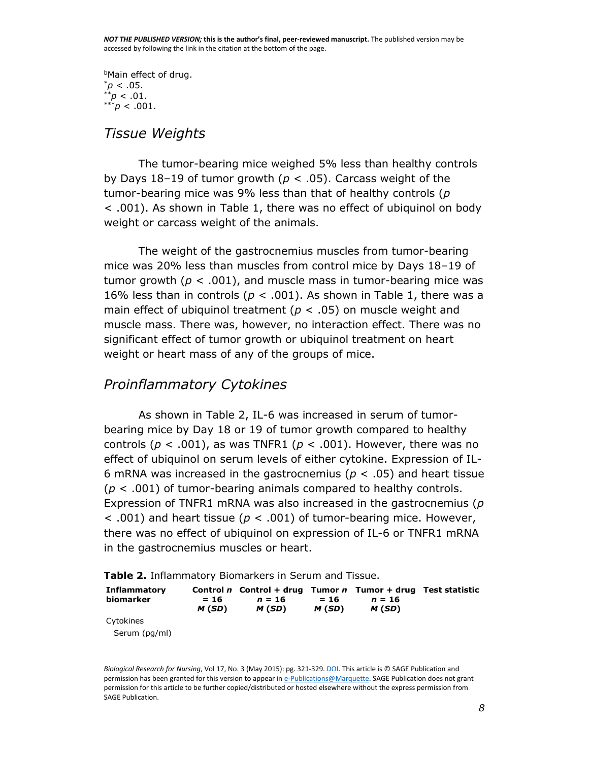**Main effect of drug.**  $p<.05$ .  $p < .01$ .  $***p$  < .001.

## *Tissue Weights*

The tumor-bearing mice weighed 5% less than healthy controls by Days 18–19 of tumor growth (*p* < .05). Carcass weight of the tumor-bearing mice was 9% less than that of healthy controls (*p* < .001). As shown in [Table 1,](https://www.ncbi.nlm.nih.gov/pmc/articles/PMC4363037/table/T1/) there was no effect of ubiquinol on body weight or carcass weight of the animals.

The weight of the gastrocnemius muscles from tumor-bearing mice was 20% less than muscles from control mice by Days 18–19 of tumor growth ( $p < .001$ ), and muscle mass in tumor-bearing mice was 16% less than in controls ( $p < .001$ ). As shown in [Table 1,](https://www.ncbi.nlm.nih.gov/pmc/articles/PMC4363037/table/T1/) there was a main effect of ubiquinol treatment (*p* < .05) on muscle weight and muscle mass. There was, however, no interaction effect. There was no significant effect of tumor growth or ubiquinol treatment on heart weight or heart mass of any of the groups of mice.

## *Proinflammatory Cytokines*

As shown in [Table 2,](https://www.ncbi.nlm.nih.gov/pmc/articles/PMC4363037/table/T2/) IL-6 was increased in serum of tumorbearing mice by Day 18 or 19 of tumor growth compared to healthy controls ( $p < .001$ ), as was TNFR1 ( $p < .001$ ). However, there was no effect of ubiquinol on serum levels of either cytokine. Expression of IL-6 mRNA was increased in the gastrocnemius (*p* < .05) and heart tissue (*p* < .001) of tumor-bearing animals compared to healthy controls. Expression of TNFR1 mRNA was also increased in the gastrocnemius (*p* < .001) and heart tissue (*p* < .001) of tumor-bearing mice. However, there was no effect of ubiquinol on expression of IL-6 or TNFR1 mRNA in the gastrocnemius muscles or heart.

| Table 2. Inflammatory Biomarkers in Serum and Tissue. |  |  |
|-------------------------------------------------------|--|--|
|                                                       |  |  |

| Inflammatory<br>biomarker | $= 16$<br>M(SD) | Control n Control + drug Tumor n Tumor + drug Test statistic<br>$n = 16$<br>M (SD) | $= 16$<br>M (SD) | $n = 16$<br>M (SD) |  |
|---------------------------|-----------------|------------------------------------------------------------------------------------|------------------|--------------------|--|
| Cytokines                 |                 |                                                                                    |                  |                    |  |

Serum (pg/ml)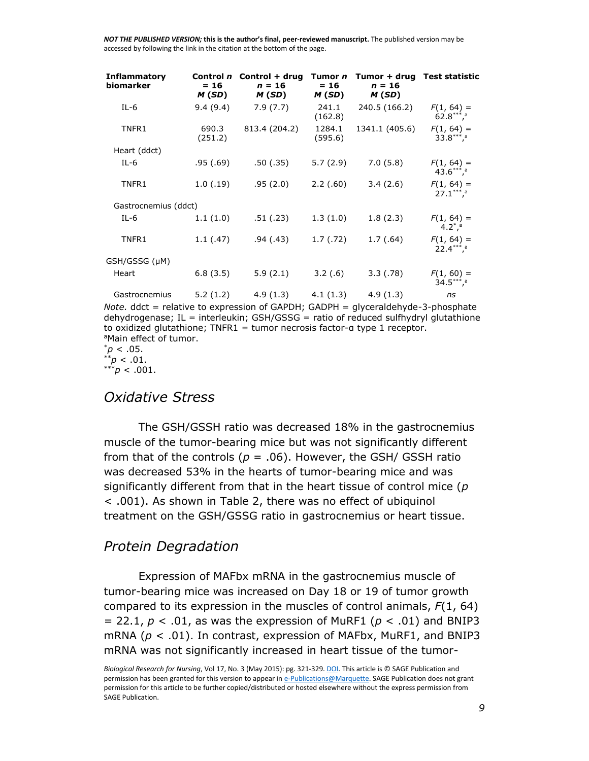| <b>Inflammatory</b><br>biomarker | $= 16$<br>M(SD)  | Control n Control + drug Tumor n<br>$n = 16$<br>M(SD) | $= 16$<br>M(SD)   | Tumor + drug Test statistic<br>$n = 16$<br>M(SD) |                                                        |
|----------------------------------|------------------|-------------------------------------------------------|-------------------|--------------------------------------------------|--------------------------------------------------------|
| $IL-6$                           | 9.4(9.4)         | 7.9(7.7)                                              | 241.1<br>(162.8)  | 240.5 (166.2)                                    | $F(1, 64) =$<br>$62.8***$ <sup>1</sup>                 |
| TNFR1                            | 690.3<br>(251.2) | 813.4 (204.2)                                         | 1284.1<br>(595.6) | 1341.1 (405.6)                                   | $F(1, 64) =$<br>$33.8***$ <sup>a</sup>                 |
| Heart (ddct)                     |                  |                                                       |                   |                                                  |                                                        |
| $IL-6$                           | .95(.69)         | .50(0.35)                                             | 5.7(2.9)          | 7.0(5.8)                                         | $F(1, 64) =$<br>$43.6***$ <sup>1</sup>                 |
| TNFR1                            | 1.0(0.19)        | .95(2.0)                                              | 2.2(.60)          | 3.4(2.6)                                         | $F(1, 64) =$<br>$27.1***$ <sup>a</sup>                 |
| Gastrocnemius (ddct)             |                  |                                                       |                   |                                                  |                                                        |
| $IL-6$                           | 1.1(1.0)         | .51( .23)                                             | 1.3(1.0)          | 1.8(2.3)                                         | $F(1, 64) =$<br>4.2 $^*$ <sup>a</sup>                  |
| TNFR1                            | 1.1(47)          | .94(0.43)                                             | 1.7(0.72)         | 1.7(0.64)                                        | $F(1, 64) =$<br>$22.4***$ <sup>**</sup> , <sup>a</sup> |
| GSH/GSSG (µM)                    |                  |                                                       |                   |                                                  |                                                        |
| Heart                            | 6.8(3.5)         | 5.9(2.1)                                              | 3.2(.6)           | 3.3(0.78)                                        | $F(1, 60) =$<br>$34.5***$ <sup>a</sup>                 |
| Gastrocnemius                    | 5.2(1.2)         | 4.9(1.3)                                              | 4.1(1.3)          | 4.9(1.3)                                         | ns                                                     |

*Note.* ddct = relative to expression of GAPDH; GADPH = glyceraldehyde-3-phosphate dehydrogenase; IL = interleukin; GSH/GSSG = ratio of reduced sulfhydryl glutathione to oxidized glutathione; TNFR1 = tumor necrosis factor-α type 1 receptor. aMain effect of tumor.

 $p^*$  < .05.  $p < .01$ . \*\*\**p* < .001.

#### *Oxidative Stress*

The GSH/GSSH ratio was decreased 18% in the gastrocnemius muscle of the tumor-bearing mice but was not significantly different from that of the controls ( $p = .06$ ). However, the GSH/ GSSH ratio was decreased 53% in the hearts of tumor-bearing mice and was significantly different from that in the heart tissue of control mice (*p* < .001). As shown in [Table 2,](https://www.ncbi.nlm.nih.gov/pmc/articles/PMC4363037/table/T2/) there was no effect of ubiquinol treatment on the GSH/GSSG ratio in gastrocnemius or heart tissue.

#### *Protein Degradation*

Expression of MAFbx mRNA in the gastrocnemius muscle of tumor-bearing mice was increased on Day 18 or 19 of tumor growth compared to its expression in the muscles of control animals, *F*(1, 64)  $= 22.1, p < .01$ , as was the expression of MuRF1 ( $p < .01$ ) and BNIP3 mRNA (*p* < .01). In contrast, expression of MAFbx, MuRF1, and BNIP3 mRNA was not significantly increased in heart tissue of the tumor-

*Biological Research for Nursing*, Vol 17, No. 3 (May 2015): pg. 321-329[. DOI.](http://dx.doi.org/10.1177/1099800414543822) This article is © SAGE Publication and permission has been granted for this version to appear i[n e-Publications@Marquette.](http://epublications.marquette.edu/) SAGE Publication does not grant permission for this article to be further copied/distributed or hosted elsewhere without the express permission from SAGE Publication.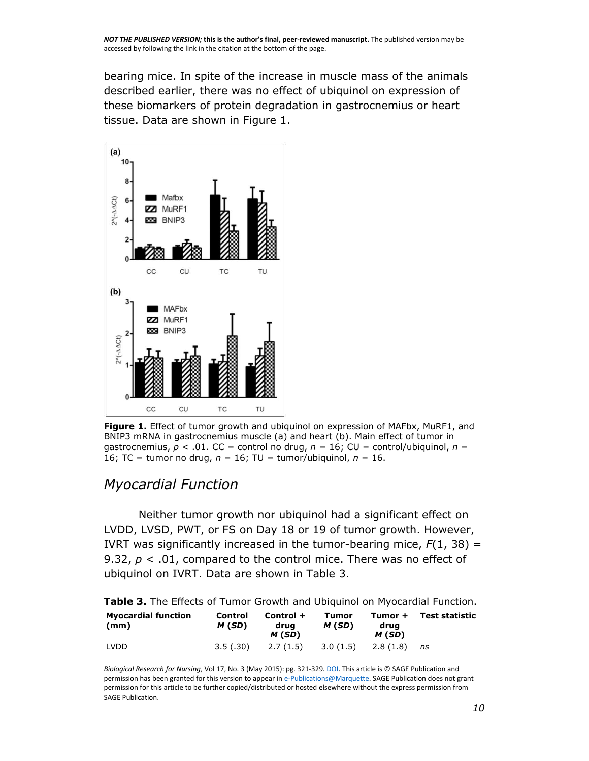bearing mice. In spite of the increase in muscle mass of the animals described earlier, there was no effect of ubiquinol on expression of these biomarkers of protein degradation in gastrocnemius or heart tissue. Data are shown in [Figure 1.](https://www.ncbi.nlm.nih.gov/pmc/articles/PMC4363037/figure/F1/)



**[Figure 1.](https://www.ncbi.nlm.nih.gov/pmc/articles/PMC4363037/figure/F1/)** Effect of tumor growth and ubiquinol on expression of MAFbx, MuRF1, and BNIP3 mRNA in gastrocnemius muscle (a) and heart (b). Main effect of tumor in gastrocnemius, *p* < .01. CC = control no drug, *n* = 16; CU = control/ubiquinol, *n* = 16; TC = tumor no drug, *n* = 16; TU = tumor/ubiquinol, *n* = 16.

## *Myocardial Function*

Neither tumor growth nor ubiquinol had a significant effect on LVDD, LVSD, PWT, or FS on Day 18 or 19 of tumor growth. However, IVRT was significantly increased in the tumor-bearing mice,  $F(1, 38) =$ 9.32, *p* < .01, compared to the control mice. There was no effect of ubiquinol on IVRT. Data are shown in [Table 3.](https://www.ncbi.nlm.nih.gov/pmc/articles/PMC4363037/table/T3/)

**[Table 3.](https://www.ncbi.nlm.nih.gov/pmc/articles/PMC4363037/table/T3/)** The Effects of Tumor Growth and Ubiquinol on Myocardial Function.

| <b>Myocardial function</b><br>(mm) | Control<br>M(SD) | Control +<br>drua<br>M (SD) | Tumor<br>M (SD) | Tumor +<br>drua<br>M(SD) | Test statistic |
|------------------------------------|------------------|-----------------------------|-----------------|--------------------------|----------------|
| LVDD                               | 3.5(0.30)        | 2.7 (1.5)                   | 3.0(1.5)        | 2.8 (1.8)                | ns             |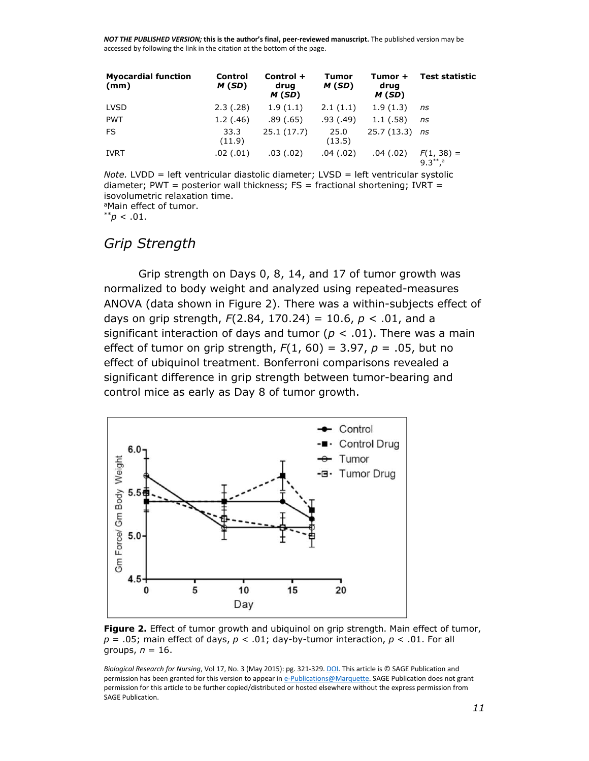| <b>Myocardial function</b><br>(mm) | Control<br>M(SD) | Control +<br>drug<br>M(SD) | Tumor<br>M(SD) | Tumor +<br>drug<br>M(SD) | <b>Test statistic</b>                     |
|------------------------------------|------------------|----------------------------|----------------|--------------------------|-------------------------------------------|
| <b>LVSD</b>                        | 2.3(0.28)        | 1.9(1.1)                   | 2.1(1.1)       | 1.9(1.3)                 | ns                                        |
| <b>PWT</b>                         | 1.2(0.46)        | .89(.65)                   | .93(0.49)      | 1.1(.58)                 | ns                                        |
| FS.                                | 33.3<br>(11.9)   | 25.1(17.7)                 | 25.0<br>(13.5) | $25.7(13.3)$ ns          |                                           |
| <b>IVRT</b>                        | .02(.01)         | .03(0.02)                  | .04(.02)       | .04(.02)                 | $F(1, 38) =$<br>$9.3^{**}$ , <sup>a</sup> |

*Note.* LVDD = left ventricular diastolic diameter; LVSD = left ventricular systolic diameter; PWT = posterior wall thickness;  $FS =$  fractional shortening; IVRT = isovolumetric relaxation time. <sup>a</sup>Main effect of tumor.

 $*^{*}p < .01$ .

## *Grip Strength*

Grip strength on Days 0, 8, 14, and 17 of tumor growth was normalized to body weight and analyzed using repeated-measures ANOVA (data shown in [Figure 2\)](https://www.ncbi.nlm.nih.gov/pmc/articles/PMC4363037/figure/F2/). There was a within-subjects effect of days on grip strength, *F*(2.84, 170.24) = 10.6, *p* < .01, and a significant interaction of days and tumor ( $p < .01$ ). There was a main effect of tumor on grip strength, *F*(1, 60) = 3.97, *p* = .05, but no effect of ubiquinol treatment. Bonferroni comparisons revealed a significant difference in grip strength between tumor-bearing and control mice as early as Day 8 of tumor growth.



**[Figure 2.](https://www.ncbi.nlm.nih.gov/pmc/articles/PMC4363037/figure/F2/)** Effect of tumor growth and ubiquinol on grip strength. Main effect of tumor,  $p = .05$ ; main effect of days,  $p < .01$ ; day-by-tumor interaction,  $p < .01$ . For all groups, *n* = 16.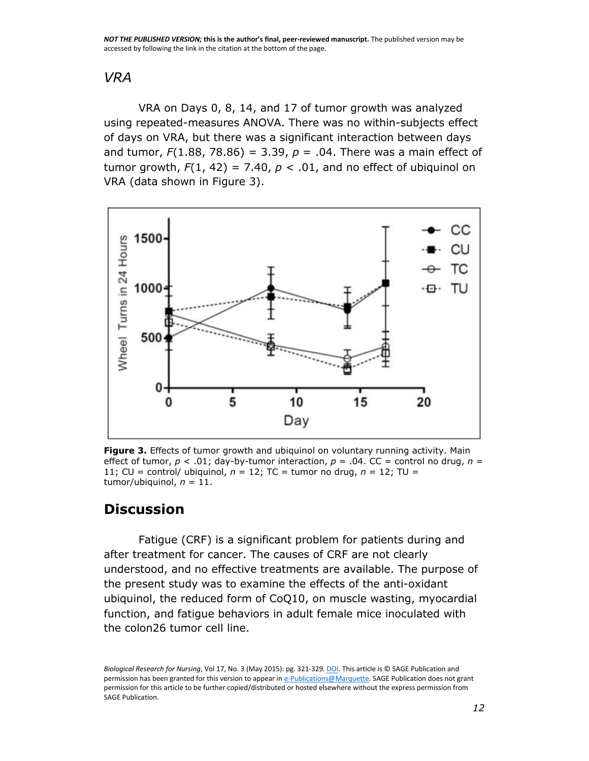## *VRA*

VRA on Days 0, 8, 14, and 17 of tumor growth was analyzed using repeated-measures ANOVA. There was no within-subjects effect of days on VRA, but there was a significant interaction between days and tumor,  $F(1.88, 78.86) = 3.39, p = .04$ . There was a main effect of tumor growth,  $F(1, 42) = 7.40$ ,  $p < .01$ , and no effect of ubiquinol on VRA (data shown in [Figure 3\)](https://www.ncbi.nlm.nih.gov/pmc/articles/PMC4363037/figure/F3/).



**[Figure 3.](https://www.ncbi.nlm.nih.gov/pmc/articles/PMC4363037/figure/F3/)** Effects of tumor growth and ubiquinol on voluntary running activity. Main effect of tumor, *p* < .01; day-by-tumor interaction, *p* = .04. CC = control no drug, *n* = 11; CU = control/ ubiquinol,  $n = 12$ ; TC = tumor no drug,  $n = 12$ ; TU = tumor/ubiquinol, *n* = 11.

## **Discussion**

Fatigue (CRF) is a significant problem for patients during and after treatment for cancer. The causes of CRF are not clearly understood, and no effective treatments are available. The purpose of the present study was to examine the effects of the anti-oxidant ubiquinol, the reduced form of CoQ10, on muscle wasting, myocardial function, and fatigue behaviors in adult female mice inoculated with the colon26 tumor cell line.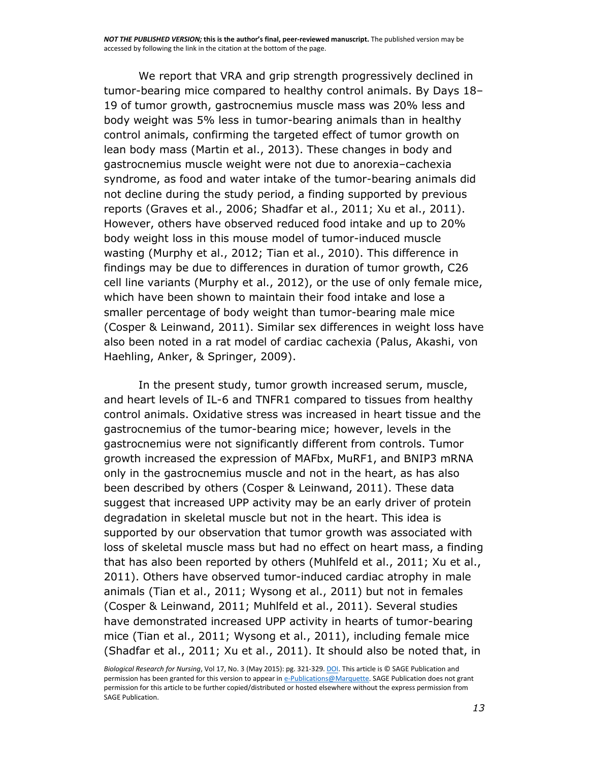We report that VRA and grip strength progressively declined in tumor-bearing mice compared to healthy control animals. By Days 18– 19 of tumor growth, gastrocnemius muscle mass was 20% less and body weight was 5% less in tumor-bearing animals than in healthy control animals, confirming the targeted effect of tumor growth on lean body mass [\(Martin et al., 2013\)](https://www.ncbi.nlm.nih.gov/pmc/articles/PMC4363037/#R22). These changes in body and gastrocnemius muscle weight were not due to anorexia–cachexia syndrome, as food and water intake of the tumor-bearing animals did not decline during the study period, a finding supported by previous reports [\(Graves et al., 2006;](https://www.ncbi.nlm.nih.gov/pmc/articles/PMC4363037/#R16) [Shadfar et al., 2011;](https://www.ncbi.nlm.nih.gov/pmc/articles/PMC4363037/#R40) [Xu et al., 2011\)](https://www.ncbi.nlm.nih.gov/pmc/articles/PMC4363037/#R53). However, others have observed reduced food intake and up to 20% body weight loss in this mouse model of tumor-induced muscle wasting [\(Murphy et al., 2012;](https://www.ncbi.nlm.nih.gov/pmc/articles/PMC4363037/#R27) [Tian et al., 2010\)](https://www.ncbi.nlm.nih.gov/pmc/articles/PMC4363037/#R45). This difference in findings may be due to differences in duration of tumor growth, C26 cell line variants [\(Murphy et al., 2012\)](https://www.ncbi.nlm.nih.gov/pmc/articles/PMC4363037/#R27), or the use of only female mice, which have been shown to maintain their food intake and lose a smaller percentage of body weight than tumor-bearing male mice [\(Cosper & Leinwand, 2011\)](https://www.ncbi.nlm.nih.gov/pmc/articles/PMC4363037/#R6). Similar sex differences in weight loss have also been noted in a rat model of cardiac cachexia [\(Palus, Akashi, von](https://www.ncbi.nlm.nih.gov/pmc/articles/PMC4363037/#R31)  [Haehling, Anker, & Springer, 2009\)](https://www.ncbi.nlm.nih.gov/pmc/articles/PMC4363037/#R31).

In the present study, tumor growth increased serum, muscle, and heart levels of IL-6 and TNFR1 compared to tissues from healthy control animals. Oxidative stress was increased in heart tissue and the gastrocnemius of the tumor-bearing mice; however, levels in the gastrocnemius were not significantly different from controls. Tumor growth increased the expression of MAFbx, MuRF1, and BNIP3 mRNA only in the gastrocnemius muscle and not in the heart, as has also been described by others [\(Cosper & Leinwand, 2011\)](https://www.ncbi.nlm.nih.gov/pmc/articles/PMC4363037/#R6). These data suggest that increased UPP activity may be an early driver of protein degradation in skeletal muscle but not in the heart. This idea is supported by our observation that tumor growth was associated with loss of skeletal muscle mass but had no effect on heart mass, a finding that has also been reported by others [\(Muhlfeld et al., 2011;](https://www.ncbi.nlm.nih.gov/pmc/articles/PMC4363037/#R25) [Xu et al.,](https://www.ncbi.nlm.nih.gov/pmc/articles/PMC4363037/#R53)  [2011\)](https://www.ncbi.nlm.nih.gov/pmc/articles/PMC4363037/#R53). Others have observed tumor-induced cardiac atrophy in male animals [\(Tian et al., 2011;](https://www.ncbi.nlm.nih.gov/pmc/articles/PMC4363037/#R44) [Wysong et al., 2011\)](https://www.ncbi.nlm.nih.gov/pmc/articles/PMC4363037/#R52) but not in females [\(Cosper & Leinwand, 2011;](https://www.ncbi.nlm.nih.gov/pmc/articles/PMC4363037/#R6) [Muhlfeld et al., 2011\)](https://www.ncbi.nlm.nih.gov/pmc/articles/PMC4363037/#R25). Several studies have demonstrated increased UPP activity in hearts of tumor-bearing mice [\(Tian et al., 2011;](https://www.ncbi.nlm.nih.gov/pmc/articles/PMC4363037/#R44) [Wysong et al., 2011\)](https://www.ncbi.nlm.nih.gov/pmc/articles/PMC4363037/#R52), including female mice [\(Shadfar et al., 2011;](https://www.ncbi.nlm.nih.gov/pmc/articles/PMC4363037/#R40) [Xu et al., 2011\)](https://www.ncbi.nlm.nih.gov/pmc/articles/PMC4363037/#R53). It should also be noted that, in

*Biological Research for Nursing*, Vol 17, No. 3 (May 2015): pg. 321-329[. DOI.](http://dx.doi.org/10.1177/1099800414543822) This article is © SAGE Publication and permission has been granted for this version to appear i[n e-Publications@Marquette.](http://epublications.marquette.edu/) SAGE Publication does not grant permission for this article to be further copied/distributed or hosted elsewhere without the express permission from SAGE Publication.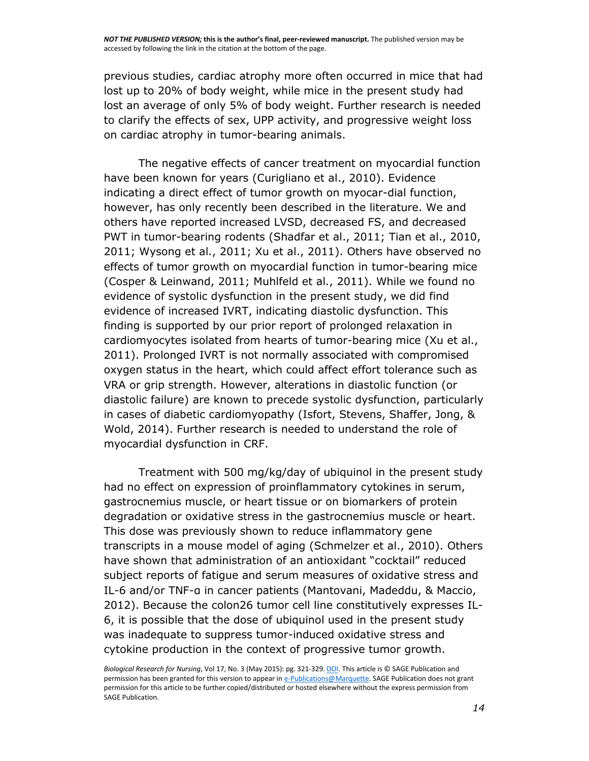previous studies, cardiac atrophy more often occurred in mice that had lost up to 20% of body weight, while mice in the present study had lost an average of only 5% of body weight. Further research is needed to clarify the effects of sex, UPP activity, and progressive weight loss on cardiac atrophy in tumor-bearing animals.

The negative effects of cancer treatment on myocardial function have been known for years [\(Curigliano et al., 2010\)](https://www.ncbi.nlm.nih.gov/pmc/articles/PMC4363037/#R7). Evidence indicating a direct effect of tumor growth on myocar-dial function, however, has only recently been described in the literature. We and others have reported increased LVSD, decreased FS, and decreased PWT in tumor-bearing rodents [\(Shadfar et al., 2011;](https://www.ncbi.nlm.nih.gov/pmc/articles/PMC4363037/#R40) [Tian et al., 2010,](https://www.ncbi.nlm.nih.gov/pmc/articles/PMC4363037/#R45) [2011;](https://www.ncbi.nlm.nih.gov/pmc/articles/PMC4363037/#R44) [Wysong et al., 2011;](https://www.ncbi.nlm.nih.gov/pmc/articles/PMC4363037/#R52) [Xu et al., 2011\)](https://www.ncbi.nlm.nih.gov/pmc/articles/PMC4363037/#R53). Others have observed no effects of tumor growth on myocardial function in tumor-bearing mice [\(Cosper & Leinwand, 2011;](https://www.ncbi.nlm.nih.gov/pmc/articles/PMC4363037/#R6) [Muhlfeld et al., 2011\)](https://www.ncbi.nlm.nih.gov/pmc/articles/PMC4363037/#R25). While we found no evidence of systolic dysfunction in the present study, we did find evidence of increased IVRT, indicating diastolic dysfunction. This finding is supported by our prior report of prolonged relaxation in cardiomyocytes isolated from hearts of tumor-bearing mice [\(Xu et al.,](https://www.ncbi.nlm.nih.gov/pmc/articles/PMC4363037/#R53)  [2011\)](https://www.ncbi.nlm.nih.gov/pmc/articles/PMC4363037/#R53). Prolonged IVRT is not normally associated with compromised oxygen status in the heart, which could affect effort tolerance such as VRA or grip strength. However, alterations in diastolic function (or diastolic failure) are known to precede systolic dysfunction, particularly in cases of diabetic cardiomyopathy [\(Isfort, Stevens, Shaffer, Jong, &](https://www.ncbi.nlm.nih.gov/pmc/articles/PMC4363037/#R18)  [Wold, 2014\)](https://www.ncbi.nlm.nih.gov/pmc/articles/PMC4363037/#R18). Further research is needed to understand the role of myocardial dysfunction in CRF.

Treatment with 500 mg/kg/day of ubiquinol in the present study had no effect on expression of proinflammatory cytokines in serum, gastrocnemius muscle, or heart tissue or on biomarkers of protein degradation or oxidative stress in the gastrocnemius muscle or heart. This dose was previously shown to reduce inflammatory gene transcripts in a mouse model of aging [\(Schmelzer et al., 2010\)](https://www.ncbi.nlm.nih.gov/pmc/articles/PMC4363037/#R39). Others have shown that administration of an antioxidant "cocktail" reduced subject reports of fatigue and serum measures of oxidative stress and IL-6 and/or TNF-α in cancer patients ([Mantovani, Madeddu, & Maccio,](https://www.ncbi.nlm.nih.gov/pmc/articles/PMC4363037/#R20)  [2012\)](https://www.ncbi.nlm.nih.gov/pmc/articles/PMC4363037/#R20). Because the colon26 tumor cell line constitutively expresses IL-6, it is possible that the dose of ubiquinol used in the present study was inadequate to suppress tumor-induced oxidative stress and cytokine production in the context of progressive tumor growth.

*Biological Research for Nursing*, Vol 17, No. 3 (May 2015): pg. 321-329[. DOI.](http://dx.doi.org/10.1177/1099800414543822) This article is © SAGE Publication and permission has been granted for this version to appear i[n e-Publications@Marquette.](http://epublications.marquette.edu/) SAGE Publication does not grant permission for this article to be further copied/distributed or hosted elsewhere without the express permission from SAGE Publication.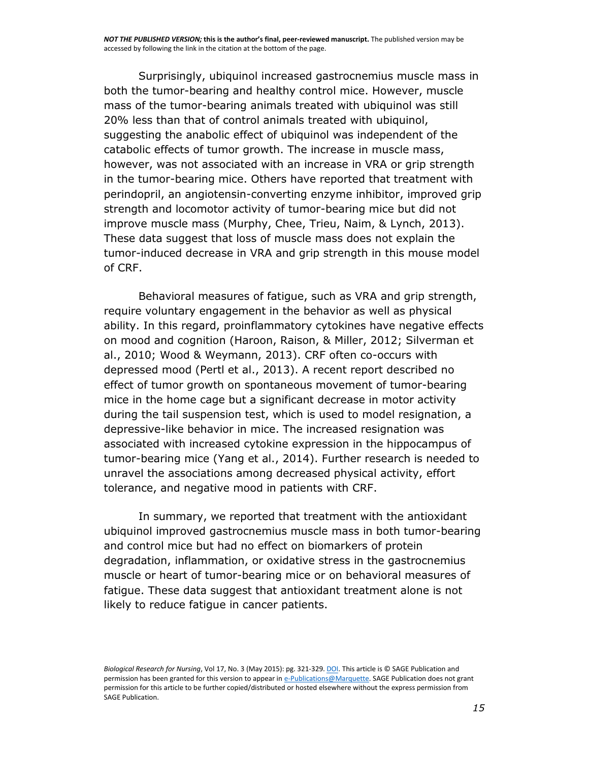Surprisingly, ubiquinol increased gastrocnemius muscle mass in both the tumor-bearing and healthy control mice. However, muscle mass of the tumor-bearing animals treated with ubiquinol was still 20% less than that of control animals treated with ubiquinol, suggesting the anabolic effect of ubiquinol was independent of the catabolic effects of tumor growth. The increase in muscle mass, however, was not associated with an increase in VRA or grip strength in the tumor-bearing mice. Others have reported that treatment with perindopril, an angiotensin-converting enzyme inhibitor, improved grip strength and locomotor activity of tumor-bearing mice but did not improve muscle mass [\(Murphy, Chee, Trieu, Naim, & Lynch, 2013\)](https://www.ncbi.nlm.nih.gov/pmc/articles/PMC4363037/#R28). These data suggest that loss of muscle mass does not explain the tumor-induced decrease in VRA and grip strength in this mouse model of CRF.

Behavioral measures of fatigue, such as VRA and grip strength, require voluntary engagement in the behavior as well as physical ability. In this regard, proinflammatory cytokines have negative effects on mood and cognition [\(Haroon, Raison, & Miller, 2012;](https://www.ncbi.nlm.nih.gov/pmc/articles/PMC4363037/#R17) [Silverman et](https://www.ncbi.nlm.nih.gov/pmc/articles/PMC4363037/#R41)  [al., 2010;](https://www.ncbi.nlm.nih.gov/pmc/articles/PMC4363037/#R41) [Wood & Weymann, 2013\)](https://www.ncbi.nlm.nih.gov/pmc/articles/PMC4363037/#R51). CRF often co-occurs with depressed mood [\(Pertl et al., 2013\)](https://www.ncbi.nlm.nih.gov/pmc/articles/PMC4363037/#R32). A recent report described no effect of tumor growth on spontaneous movement of tumor-bearing mice in the home cage but a significant decrease in motor activity during the tail suspension test, which is used to model resignation, a depressive-like behavior in mice. The increased resignation was associated with increased cytokine expression in the hippocampus of tumor-bearing mice [\(Yang et al., 2014\)](https://www.ncbi.nlm.nih.gov/pmc/articles/PMC4363037/#R54). Further research is needed to unravel the associations among decreased physical activity, effort tolerance, and negative mood in patients with CRF.

In summary, we reported that treatment with the antioxidant ubiquinol improved gastrocnemius muscle mass in both tumor-bearing and control mice but had no effect on biomarkers of protein degradation, inflammation, or oxidative stress in the gastrocnemius muscle or heart of tumor-bearing mice or on behavioral measures of fatigue. These data suggest that antioxidant treatment alone is not likely to reduce fatigue in cancer patients.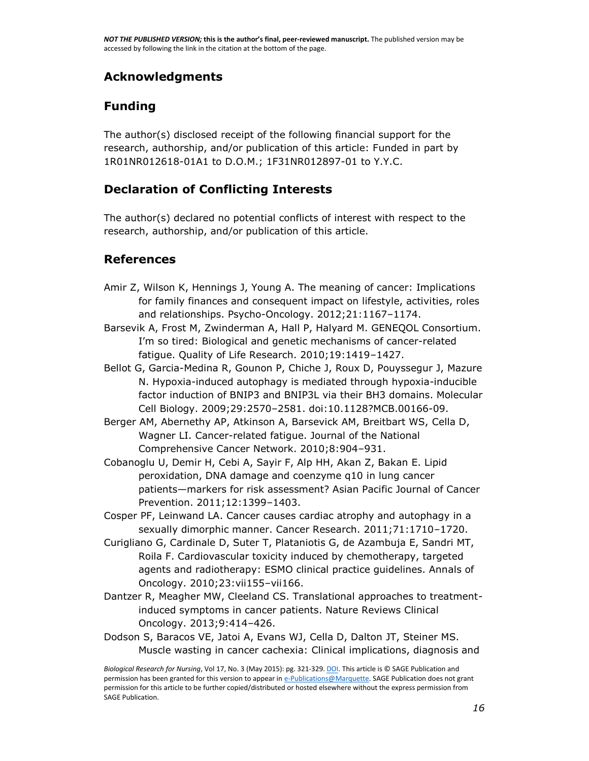## **Acknowledgments**

## **Funding**

The author(s) disclosed receipt of the following financial support for the research, authorship, and/or publication of this article: Funded in part by 1R01NR012618-01A1 to D.O.M.; 1F31NR012897-01 to Y.Y.C.

## **Declaration of Conflicting Interests**

The author(s) declared no potential conflicts of interest with respect to the research, authorship, and/or publication of this article.

#### **References**

- Amir Z, Wilson K, Hennings J, Young A. The meaning of cancer: Implications for family finances and consequent impact on lifestyle, activities, roles and relationships. Psycho-Oncology. 2012;21:1167–1174.
- Barsevik A, Frost M, Zwinderman A, Hall P, Halyard M. GENEQOL Consortium. I'm so tired: Biological and genetic mechanisms of cancer-related fatigue. Quality of Life Research. 2010;19:1419–1427.
- Bellot G, Garcia-Medina R, Gounon P, Chiche J, Roux D, Pouyssegur J, Mazure N. Hypoxia-induced autophagy is mediated through hypoxia-inducible factor induction of BNIP3 and BNIP3L via their BH3 domains. Molecular Cell Biology. 2009;29:2570–2581. doi:10.1128?MCB.00166-09.
- Berger AM, Abernethy AP, Atkinson A, Barsevick AM, Breitbart WS, Cella D, Wagner LI. Cancer-related fatigue. Journal of the National Comprehensive Cancer Network. 2010;8:904–931.
- Cobanoglu U, Demir H, Cebi A, Sayir F, Alp HH, Akan Z, Bakan E. Lipid peroxidation, DNA damage and coenzyme q10 in lung cancer patients—markers for risk assessment? Asian Pacific Journal of Cancer Prevention. 2011;12:1399–1403.
- Cosper PF, Leinwand LA. Cancer causes cardiac atrophy and autophagy in a sexually dimorphic manner. Cancer Research. 2011;71:1710–1720.
- Curigliano G, Cardinale D, Suter T, Plataniotis G, de Azambuja E, Sandri MT, Roila F. Cardiovascular toxicity induced by chemotherapy, targeted agents and radiotherapy: ESMO clinical practice guidelines. Annals of Oncology. 2010;23:vii155–vii166.
- Dantzer R, Meagher MW, Cleeland CS. Translational approaches to treatmentinduced symptoms in cancer patients. Nature Reviews Clinical Oncology. 2013;9:414–426.
- Dodson S, Baracos VE, Jatoi A, Evans WJ, Cella D, Dalton JT, Steiner MS. Muscle wasting in cancer cachexia: Clinical implications, diagnosis and

*Biological Research for Nursing*, Vol 17, No. 3 (May 2015): pg. 321-329[. DOI.](http://dx.doi.org/10.1177/1099800414543822) This article is © SAGE Publication and permission has been granted for this version to appear i[n e-Publications@Marquette.](http://epublications.marquette.edu/) SAGE Publication does not grant permission for this article to be further copied/distributed or hosted elsewhere without the express permission from SAGE Publication.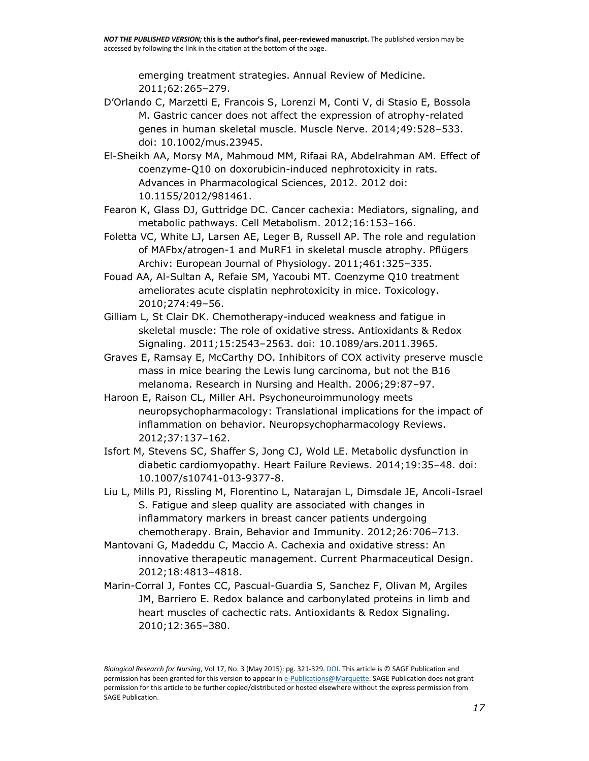emerging treatment strategies. Annual Review of Medicine. 2011;62:265–279.

- D'Orlando C, Marzetti E, Francois S, Lorenzi M, Conti V, di Stasio E, Bossola M. Gastric cancer does not affect the expression of atrophy-related genes in human skeletal muscle. Muscle Nerve. 2014;49:528–533. doi: 10.1002/mus.23945.
- El-Sheikh AA, Morsy MA, Mahmoud MM, Rifaai RA, Abdelrahman AM. Effect of coenzyme-Q10 on doxorubicin-induced nephrotoxicity in rats. Advances in Pharmacological Sciences, 2012. 2012 doi: 10.1155/2012/981461.
- Fearon K, Glass DJ, Guttridge DC. Cancer cachexia: Mediators, signaling, and metabolic pathways. Cell Metabolism. 2012;16:153–166.
- Foletta VC, White LJ, Larsen AE, Leger B, Russell AP. The role and regulation of MAFbx/atrogen-1 and MuRF1 in skeletal muscle atrophy. Pflügers Archiv: European Journal of Physiology. 2011;461:325–335.
- Fouad AA, Al-Sultan A, Refaie SM, Yacoubi MT. Coenzyme Q10 treatment ameliorates acute cisplatin nephrotoxicity in mice. Toxicology. 2010;274:49–56.
- Gilliam L, St Clair DK. Chemotherapy-induced weakness and fatigue in skeletal muscle: The role of oxidative stress. Antioxidants & Redox Signaling. 2011;15:2543–2563. doi: 10.1089/ars.2011.3965.
- Graves E, Ramsay E, McCarthy DO. Inhibitors of COX activity preserve muscle mass in mice bearing the Lewis lung carcinoma, but not the B16 melanoma. Research in Nursing and Health. 2006;29:87–97.
- Haroon E, Raison CL, Miller AH. Psychoneuroimmunology meets neuropsychopharmacology: Translational implications for the impact of inflammation on behavior. Neuropsychopharmacology Reviews. 2012;37:137–162.
- Isfort M, Stevens SC, Shaffer S, Jong CJ, Wold LE. Metabolic dysfunction in diabetic cardiomyopathy. Heart Failure Reviews. 2014;19:35–48. doi: 10.1007/s10741-013-9377-8.
- Liu L, Mills PJ, Rissling M, Florentino L, Natarajan L, Dimsdale JE, Ancoli-Israel S. Fatigue and sleep quality are associated with changes in inflammatory markers in breast cancer patients undergoing chemotherapy. Brain, Behavior and Immunity. 2012;26:706–713.
- Mantovani G, Madeddu C, Maccio A. Cachexia and oxidative stress: An innovative therapeutic management. Current Pharmaceutical Design. 2012;18:4813–4818.
- Marin-Corral J, Fontes CC, Pascual-Guardia S, Sanchez F, Olivan M, Argiles JM, Barriero E. Redox balance and carbonylated proteins in limb and heart muscles of cachectic rats. Antioxidants & Redox Signaling. 2010;12:365–380.

*Biological Research for Nursing*, Vol 17, No. 3 (May 2015): pg. 321-329[. DOI.](http://dx.doi.org/10.1177/1099800414543822) This article is © SAGE Publication and permission has been granted for this version to appear i[n e-Publications@Marquette.](http://epublications.marquette.edu/) SAGE Publication does not grant permission for this article to be further copied/distributed or hosted elsewhere without the express permission from SAGE Publication.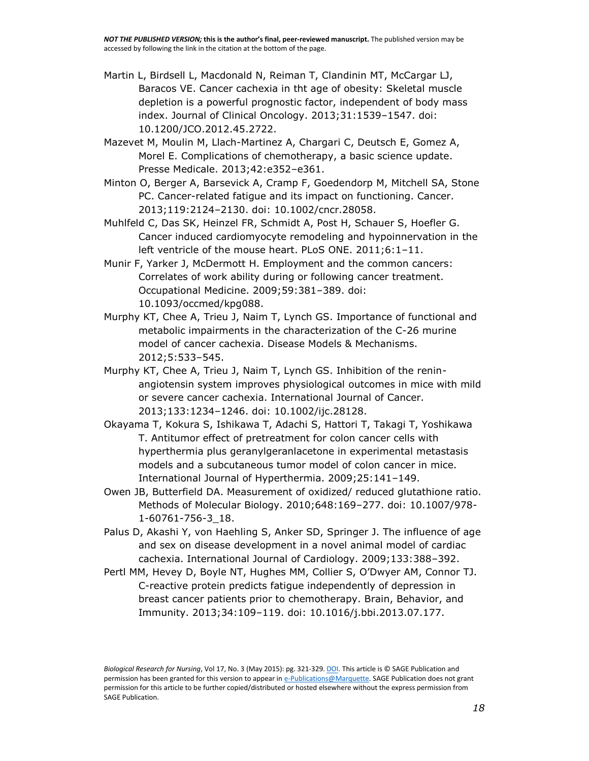- Martin L, Birdsell L, Macdonald N, Reiman T, Clandinin MT, McCargar LJ, Baracos VE. Cancer cachexia in tht age of obesity: Skeletal muscle depletion is a powerful prognostic factor, independent of body mass index. Journal of Clinical Oncology. 2013;31:1539–1547. doi: 10.1200/JCO.2012.45.2722.
- Mazevet M, Moulin M, Llach-Martinez A, Chargari C, Deutsch E, Gomez A, Morel E. Complications of chemotherapy, a basic science update. Presse Medicale. 2013;42:e352–e361.
- Minton O, Berger A, Barsevick A, Cramp F, Goedendorp M, Mitchell SA, Stone PC. Cancer-related fatigue and its impact on functioning. Cancer. 2013;119:2124–2130. doi: 10.1002/cncr.28058.
- Muhlfeld C, Das SK, Heinzel FR, Schmidt A, Post H, Schauer S, Hoefler G. Cancer induced cardiomyocyte remodeling and hypoinnervation in the left ventricle of the mouse heart. PLoS ONE. 2011;6:1–11.
- Munir F, Yarker J, McDermott H. Employment and the common cancers: Correlates of work ability during or following cancer treatment. Occupational Medicine. 2009;59:381–389. doi: 10.1093/occmed/kpg088.
- Murphy KT, Chee A, Trieu J, Naim T, Lynch GS. Importance of functional and metabolic impairments in the characterization of the C-26 murine model of cancer cachexia. Disease Models & Mechanisms. 2012;5:533–545.
- Murphy KT, Chee A, Trieu J, Naim T, Lynch GS. Inhibition of the reninangiotensin system improves physiological outcomes in mice with mild or severe cancer cachexia. International Journal of Cancer. 2013;133:1234–1246. doi: 10.1002/ijc.28128.
- Okayama T, Kokura S, Ishikawa T, Adachi S, Hattori T, Takagi T, Yoshikawa T. Antitumor effect of pretreatment for colon cancer cells with hyperthermia plus geranylgeranlacetone in experimental metastasis models and a subcutaneous tumor model of colon cancer in mice. International Journal of Hyperthermia. 2009;25:141–149.
- Owen JB, Butterfield DA. Measurement of oxidized/ reduced glutathione ratio. Methods of Molecular Biology. 2010;648:169–277. doi: 10.1007/978- 1-60761-756-3\_18.
- Palus D, Akashi Y, von Haehling S, Anker SD, Springer J. The influence of age and sex on disease development in a novel animal model of cardiac cachexia. International Journal of Cardiology. 2009;133:388–392.
- Pertl MM, Hevey D, Boyle NT, Hughes MM, Collier S, O'Dwyer AM, Connor TJ. C-reactive protein predicts fatigue independently of depression in breast cancer patients prior to chemotherapy. Brain, Behavior, and Immunity. 2013;34:109–119. doi: 10.1016/j.bbi.2013.07.177.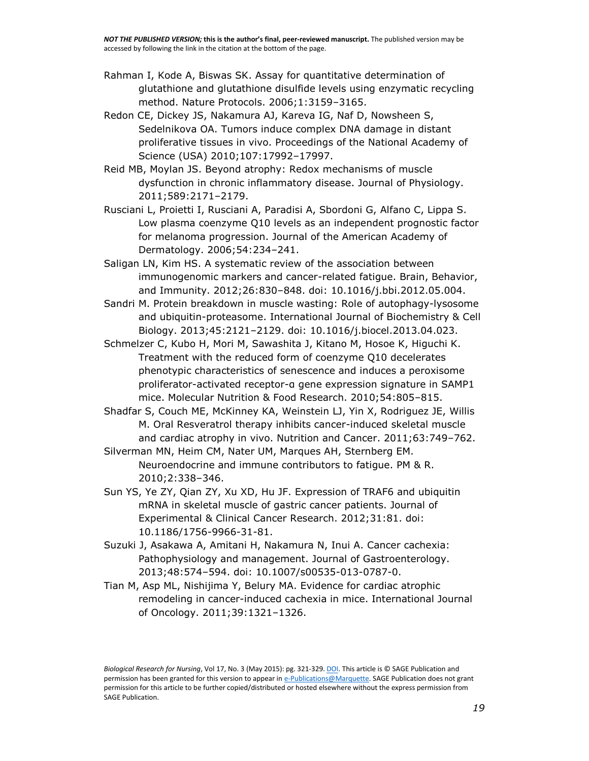- Rahman I, Kode A, Biswas SK. Assay for quantitative determination of glutathione and glutathione disulfide levels using enzymatic recycling method. Nature Protocols. 2006;1:3159–3165.
- Redon CE, Dickey JS, Nakamura AJ, Kareva IG, Naf D, Nowsheen S, Sedelnikova OA. Tumors induce complex DNA damage in distant proliferative tissues in vivo. Proceedings of the National Academy of Science (USA) 2010;107:17992–17997.
- Reid MB, Moylan JS. Beyond atrophy: Redox mechanisms of muscle dysfunction in chronic inflammatory disease. Journal of Physiology. 2011;589:2171–2179.
- Rusciani L, Proietti I, Rusciani A, Paradisi A, Sbordoni G, Alfano C, Lippa S. Low plasma coenzyme Q10 levels as an independent prognostic factor for melanoma progression. Journal of the American Academy of Dermatology. 2006;54:234–241.
- Saligan LN, Kim HS. A systematic review of the association between immunogenomic markers and cancer-related fatigue. Brain, Behavior, and Immunity. 2012;26:830–848. doi: 10.1016/j.bbi.2012.05.004.
- Sandri M. Protein breakdown in muscle wasting: Role of autophagy-lysosome and ubiquitin-proteasome. International Journal of Biochemistry & Cell Biology. 2013;45:2121–2129. doi: 10.1016/j.biocel.2013.04.023.
- Schmelzer C, Kubo H, Mori M, Sawashita J, Kitano M, Hosoe K, Higuchi K. Treatment with the reduced form of coenzyme Q10 decelerates phenotypic characteristics of senescence and induces a peroxisome proliferator-activated receptor-α gene expression signature in SAMP1 mice. Molecular Nutrition & Food Research. 2010;54:805–815.
- Shadfar S, Couch ME, McKinney KA, Weinstein LJ, Yin X, Rodriguez JE, Willis M. Oral Resveratrol therapy inhibits cancer-induced skeletal muscle and cardiac atrophy in vivo. Nutrition and Cancer. 2011;63:749–762.
- Silverman MN, Heim CM, Nater UM, Marques AH, Sternberg EM. Neuroendocrine and immune contributors to fatigue. PM & R. 2010;2:338–346.
- Sun YS, Ye ZY, Qian ZY, Xu XD, Hu JF. Expression of TRAF6 and ubiquitin mRNA in skeletal muscle of gastric cancer patients. Journal of Experimental & Clinical Cancer Research. 2012;31:81. doi: 10.1186/1756-9966-31-81.
- Suzuki J, Asakawa A, Amitani H, Nakamura N, Inui A. Cancer cachexia: Pathophysiology and management. Journal of Gastroenterology. 2013;48:574–594. doi: 10.1007/s00535-013-0787-0.
- Tian M, Asp ML, Nishijima Y, Belury MA. Evidence for cardiac atrophic remodeling in cancer-induced cachexia in mice. International Journal of Oncology. 2011;39:1321–1326.

*Biological Research for Nursing*, Vol 17, No. 3 (May 2015): pg. 321-329[. DOI.](http://dx.doi.org/10.1177/1099800414543822) This article is © SAGE Publication and permission has been granted for this version to appear i[n e-Publications@Marquette.](http://epublications.marquette.edu/) SAGE Publication does not grant permission for this article to be further copied/distributed or hosted elsewhere without the express permission from SAGE Publication.